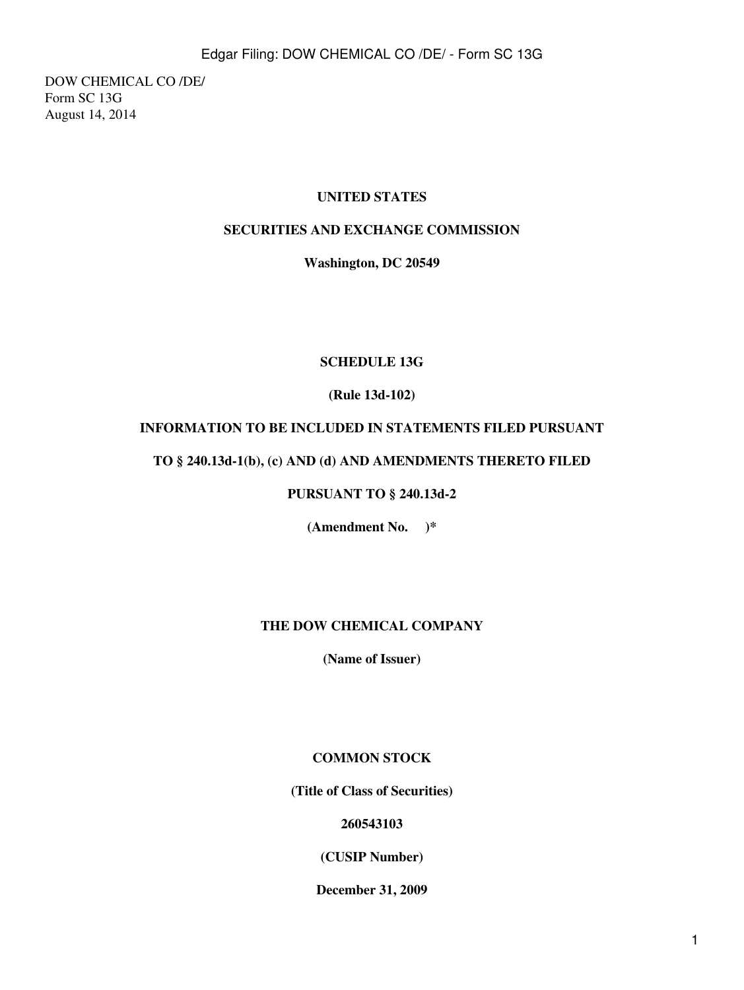DOW CHEMICAL CO /DE/ Form SC 13G August 14, 2014

# **UNITED STATES**

# **SECURITIES AND EXCHANGE COMMISSION**

#### **Washington, DC 20549**

#### **SCHEDULE 13G**

#### **(Rule 13d-102)**

#### **INFORMATION TO BE INCLUDED IN STATEMENTS FILED PURSUANT**

# **TO § 240.13d-1(b), (c) AND (d) AND AMENDMENTS THERETO FILED**

#### **PURSUANT TO § 240.13d-2**

**(Amendment No. )\***

#### **THE DOW CHEMICAL COMPANY**

**(Name of Issuer)**

# **COMMON STOCK**

**(Title of Class of Securities)**

#### **260543103**

**(CUSIP Number)**

**December 31, 2009**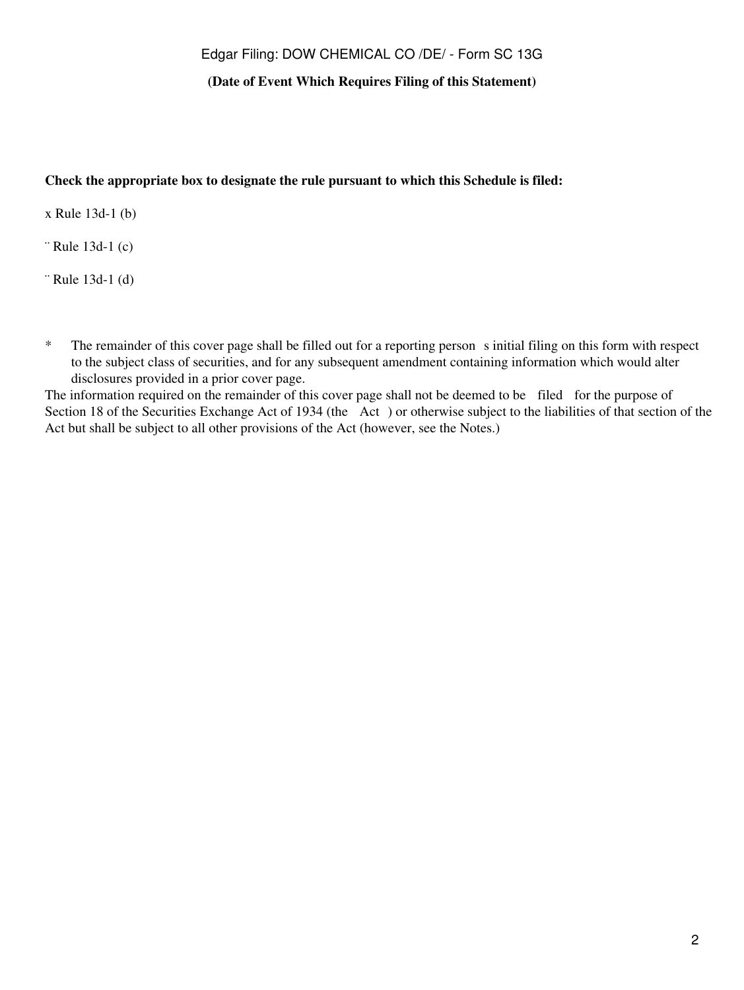# **(Date of Event Which Requires Filing of this Statement)**

#### **Check the appropriate box to designate the rule pursuant to which this Schedule is filed:**

x Rule 13d-1 (b)

¨ Rule 13d-1 (c)

¨ Rule 13d-1 (d)

\* The remainder of this cover page shall be filled out for a reporting persons initial filing on this form with respect to the subject class of securities, and for any subsequent amendment containing information which would alter disclosures provided in a prior cover page.

The information required on the remainder of this cover page shall not be deemed to be filed for the purpose of Section 18 of the Securities Exchange Act of 1934 (the Act) or otherwise subject to the liabilities of that section of the Act but shall be subject to all other provisions of the Act (however, see the Notes.)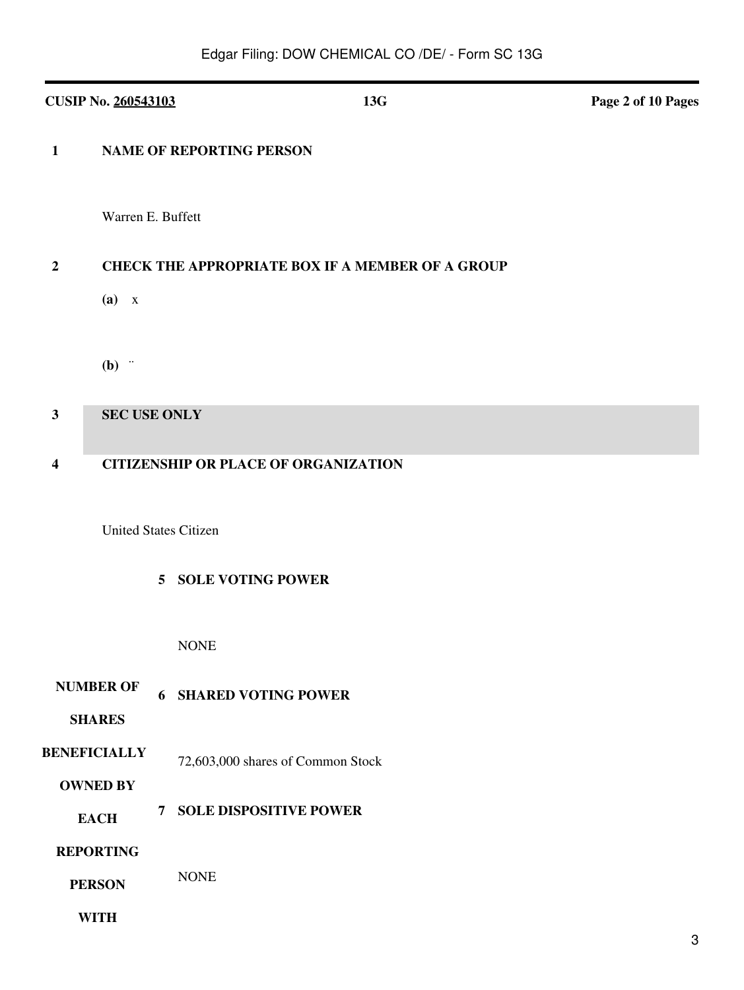# **CUSIP No. 260543103 13G Page 2 of 10 Pages 1 NAME OF REPORTING PERSON** Warren E. Buffett  **2 CHECK THE APPROPRIATE BOX IF A MEMBER OF A GROUP (a)** x **(b)** ¨  **3 SEC USE ONLY 4 CITIZENSHIP OR PLACE OF ORGANIZATION** United States Citizen **NUMBER OF SHARES BENEFICIALLY OWNED BY EACH REPORTING PERSON WITH 5 SOLE VOTING POWER** NONE **6 SHARED VOTING POWER** 72,603,000 shares of Common Stock **7 SOLE DISPOSITIVE POWER** NONE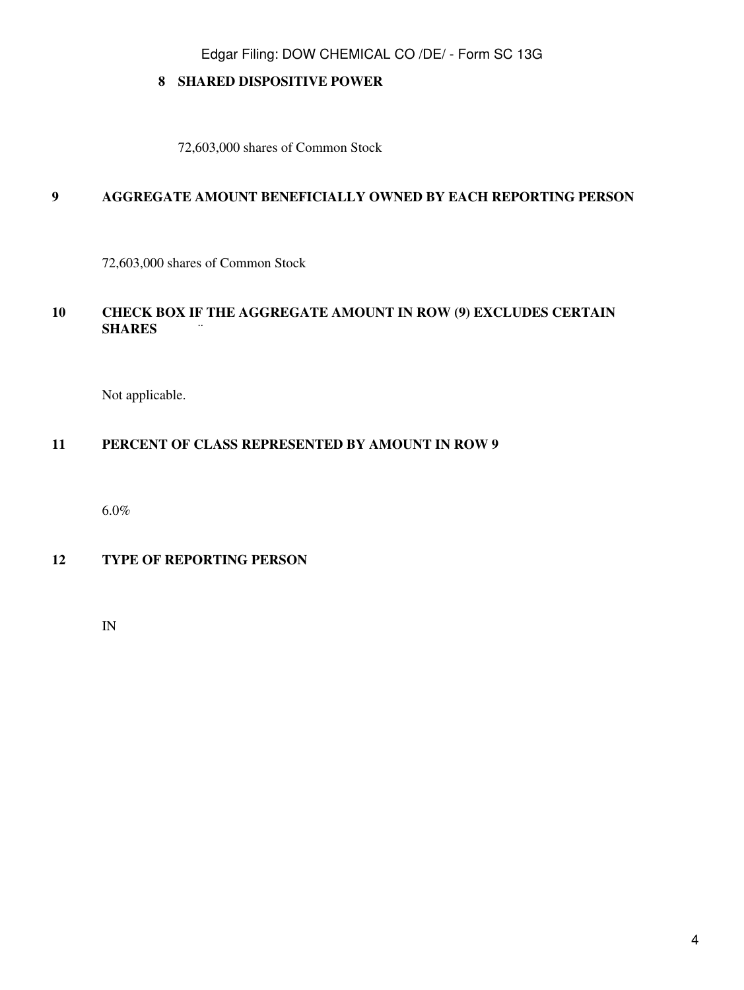# **8 SHARED DISPOSITIVE POWER**

72,603,000 shares of Common Stock

#### **9 AGGREGATE AMOUNT BENEFICIALLY OWNED BY EACH REPORTING PERSON**

72,603,000 shares of Common Stock

# **10 CHECK BOX IF THE AGGREGATE AMOUNT IN ROW (9) EXCLUDES CERTAIN SHARES** ¨

Not applicable.

#### **11 PERCENT OF CLASS REPRESENTED BY AMOUNT IN ROW 9**

6.0%

# **12 TYPE OF REPORTING PERSON**

IN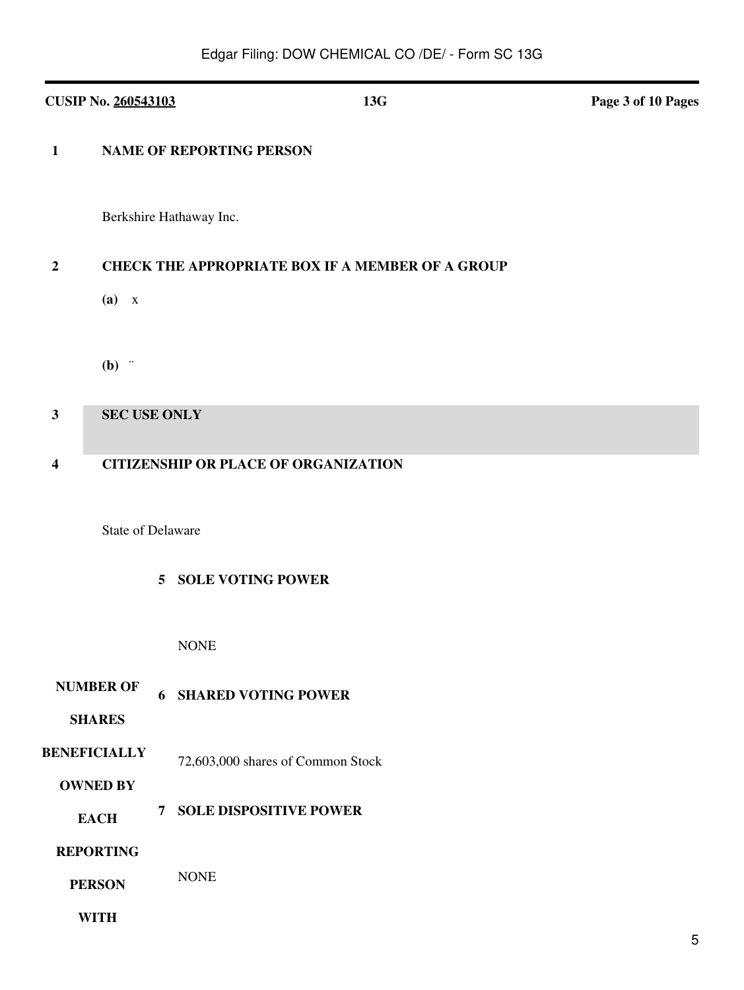| <b>CUSIP No. 260543103</b>             |                                                         |                                            | 13G                               | Page 3 of 10 Pages |
|----------------------------------------|---------------------------------------------------------|--------------------------------------------|-----------------------------------|--------------------|
| $\mathbf{1}$                           |                                                         | <b>NAME OF REPORTING PERSON</b>            |                                   |                    |
|                                        |                                                         | Berkshire Hathaway Inc.                    |                                   |                    |
| $\boldsymbol{2}$                       | <b>CHECK THE APPROPRIATE BOX IF A MEMBER OF A GROUP</b> |                                            |                                   |                    |
|                                        | $(a)$ x                                                 |                                            |                                   |                    |
| $(b)$ "                                |                                                         |                                            |                                   |                    |
| $\mathbf{3}$                           | <b>SEC USE ONLY</b>                                     |                                            |                                   |                    |
| 4                                      | <b>CITIZENSHIP OR PLACE OF ORGANIZATION</b>             |                                            |                                   |                    |
|                                        |                                                         | <b>State of Delaware</b>                   |                                   |                    |
|                                        |                                                         | <b>SOLE VOTING POWER</b><br>5 <sup>1</sup> |                                   |                    |
|                                        |                                                         | <b>NONE</b>                                |                                   |                    |
| <b>NUMBER OF</b><br><b>SHARES</b>      |                                                         | <b>6 SHARED VOTING POWER</b>               |                                   |                    |
| <b>BENEFICIALLY</b><br><b>OWNED BY</b> |                                                         |                                            | 72,603,000 shares of Common Stock |                    |
| <b>EACH</b>                            |                                                         | $\overline{7}$                             | <b>SOLE DISPOSITIVE POWER</b>     |                    |
| <b>REPORTING</b><br><b>PERSON</b>      |                                                         | <b>NONE</b>                                |                                   |                    |
| <b>WITH</b>                            |                                                         |                                            |                                   |                    |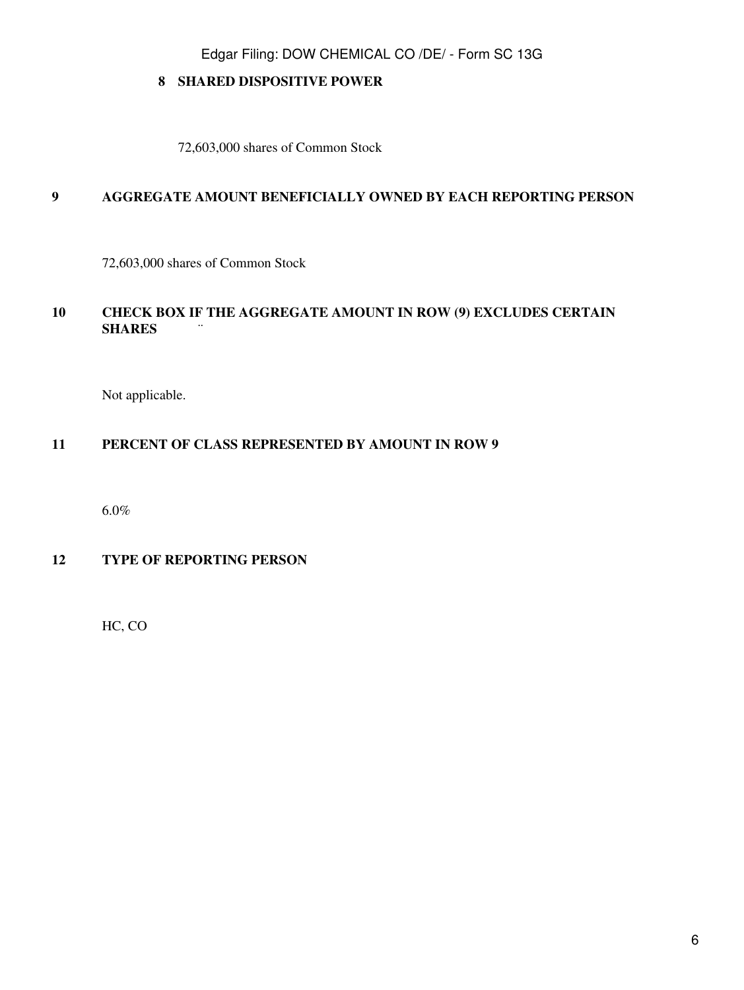# **8 SHARED DISPOSITIVE POWER**

72,603,000 shares of Common Stock

#### **9 AGGREGATE AMOUNT BENEFICIALLY OWNED BY EACH REPORTING PERSON**

72,603,000 shares of Common Stock

# **10 CHECK BOX IF THE AGGREGATE AMOUNT IN ROW (9) EXCLUDES CERTAIN SHARES** ¨

Not applicable.

#### **11 PERCENT OF CLASS REPRESENTED BY AMOUNT IN ROW 9**

6.0%

# **12 TYPE OF REPORTING PERSON**

HC, CO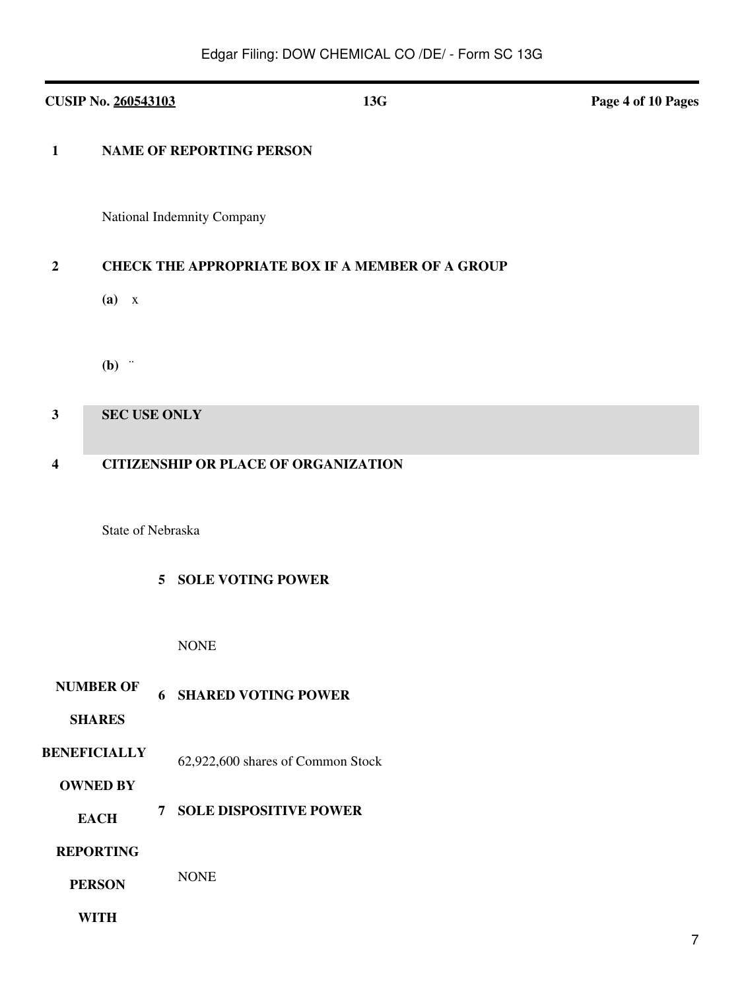# **CUSIP No. 260543103 13G Page 4 of 10 Pages 1 NAME OF REPORTING PERSON** National Indemnity Company  **2 CHECK THE APPROPRIATE BOX IF A MEMBER OF A GROUP (a)** x **(b)** ¨  **3 SEC USE ONLY 4 CITIZENSHIP OR PLACE OF ORGANIZATION** State of Nebraska **5 SOLE VOTING POWER** NONE

- **NUMBER OF 6 SHARED VOTING POWER**
	- **SHARES**
- **BENEFICIALLY**  62,922,600 shares of Common Stock
	- **OWNED BY**
		- **EACH 7 SOLE DISPOSITIVE POWER**
	- **REPORTING**
		- **PERSON** NONE
			- **WITH**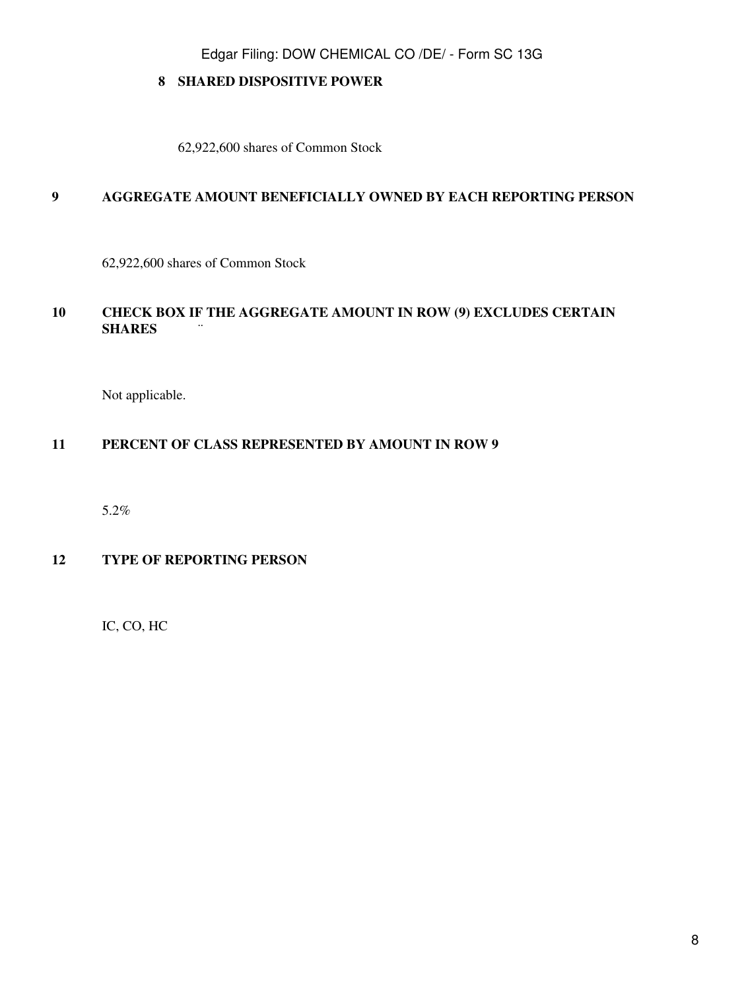# **8 SHARED DISPOSITIVE POWER**

62,922,600 shares of Common Stock

#### **9 AGGREGATE AMOUNT BENEFICIALLY OWNED BY EACH REPORTING PERSON**

62,922,600 shares of Common Stock

# **10 CHECK BOX IF THE AGGREGATE AMOUNT IN ROW (9) EXCLUDES CERTAIN SHARES** ¨

Not applicable.

#### **11 PERCENT OF CLASS REPRESENTED BY AMOUNT IN ROW 9**

5.2%

# **12 TYPE OF REPORTING PERSON**

IC, CO, HC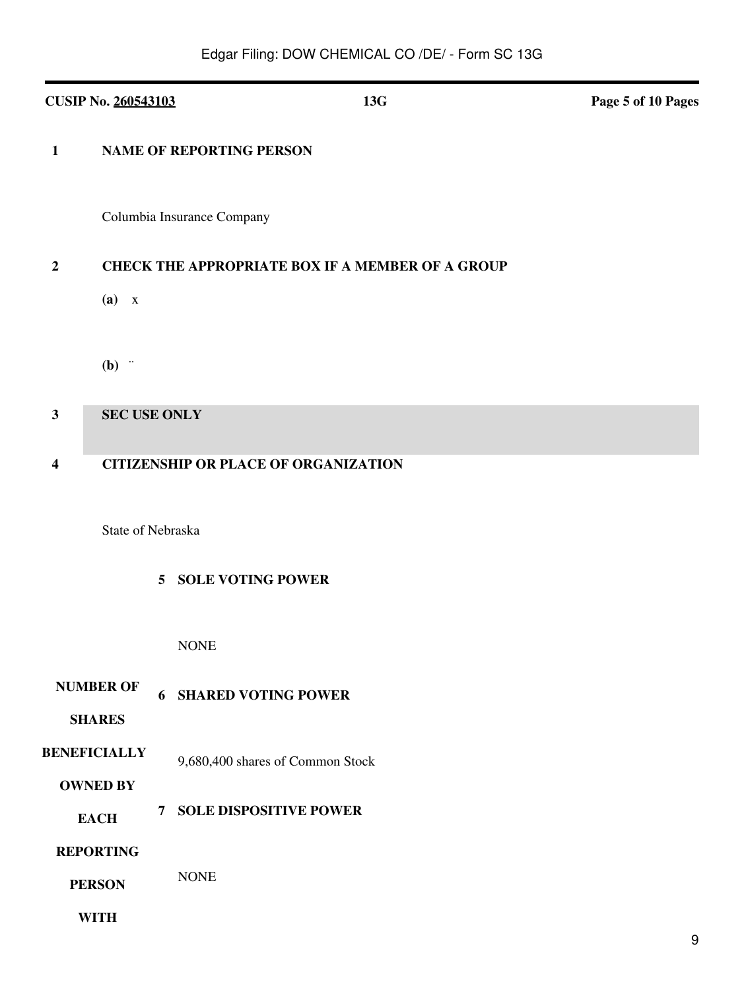# **CUSIP No. 260543103 13G Page 5 of 10 Pages 1 NAME OF REPORTING PERSON** Columbia Insurance Company  **2 CHECK THE APPROPRIATE BOX IF A MEMBER OF A GROUP (a)** x **(b)** ¨  **3 SEC USE ONLY 4 CITIZENSHIP OR PLACE OF ORGANIZATION** State of Nebraska **NUMBER OF SHARES BENEFICIALLY OWNED BY EACH REPORTING PERSON 5 SOLE VOTING POWER** NONE **6 SHARED VOTING POWER** 9,680,400 shares of Common Stock **7 SOLE DISPOSITIVE POWER** NONE

**WITH**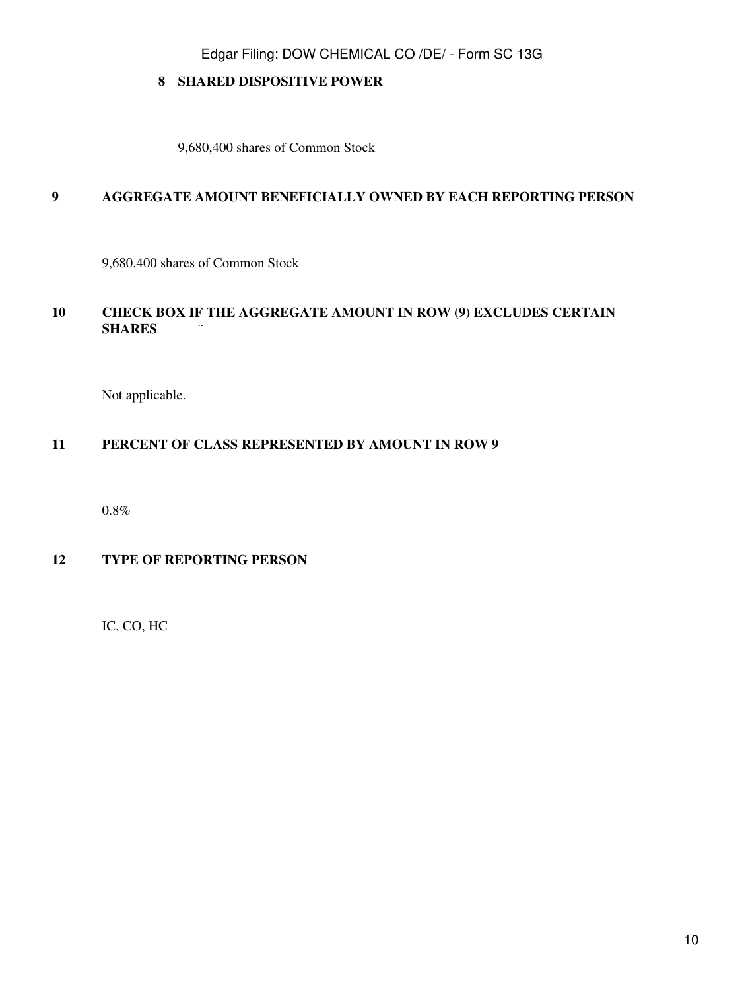# **8 SHARED DISPOSITIVE POWER**

9,680,400 shares of Common Stock

#### **9 AGGREGATE AMOUNT BENEFICIALLY OWNED BY EACH REPORTING PERSON**

9,680,400 shares of Common Stock

# **10 CHECK BOX IF THE AGGREGATE AMOUNT IN ROW (9) EXCLUDES CERTAIN SHARES** ¨

Not applicable.

#### **11 PERCENT OF CLASS REPRESENTED BY AMOUNT IN ROW 9**

0.8%

#### **12 TYPE OF REPORTING PERSON**

IC, CO, HC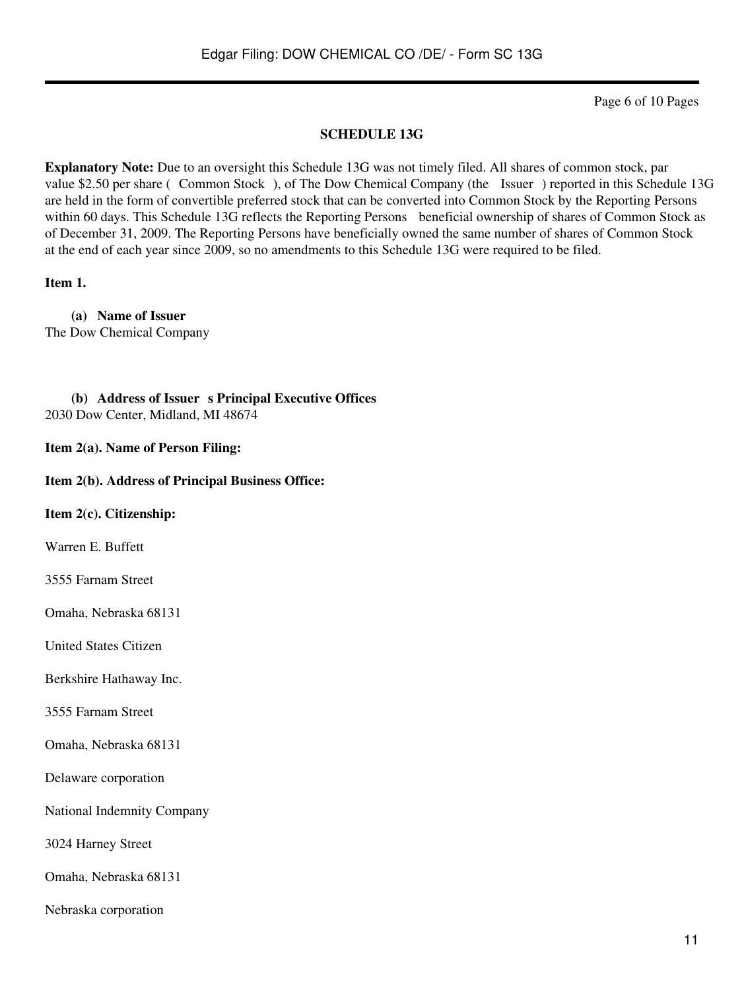Page 6 of 10 Pages

#### **SCHEDULE 13G**

**Explanatory Note:** Due to an oversight this Schedule 13G was not timely filed. All shares of common stock, par value \$2.50 per share (Common Stock), of The Dow Chemical Company (the Issuer) reported in this Schedule 13G are held in the form of convertible preferred stock that can be converted into Common Stock by the Reporting Persons within 60 days. This Schedule 13G reflects the Reporting Persons beneficial ownership of shares of Common Stock as of December 31, 2009. The Reporting Persons have beneficially owned the same number of shares of Common Stock at the end of each year since 2009, so no amendments to this Schedule 13G were required to be filed.

#### **Item 1.**

**(a) Name of Issuer** The Dow Chemical Company

(b) **Address of Issuer s Principal Executive Offices** 2030 Dow Center, Midland, MI 48674

**Item 2(a). Name of Person Filing:**

**Item 2(b). Address of Principal Business Office:**

**Item 2(c). Citizenship:**

Warren E. Buffett

3555 Farnam Street

Omaha, Nebraska 68131

United States Citizen

Berkshire Hathaway Inc.

3555 Farnam Street

Omaha, Nebraska 68131

Delaware corporation

National Indemnity Company

3024 Harney Street

Omaha, Nebraska 68131

Nebraska corporation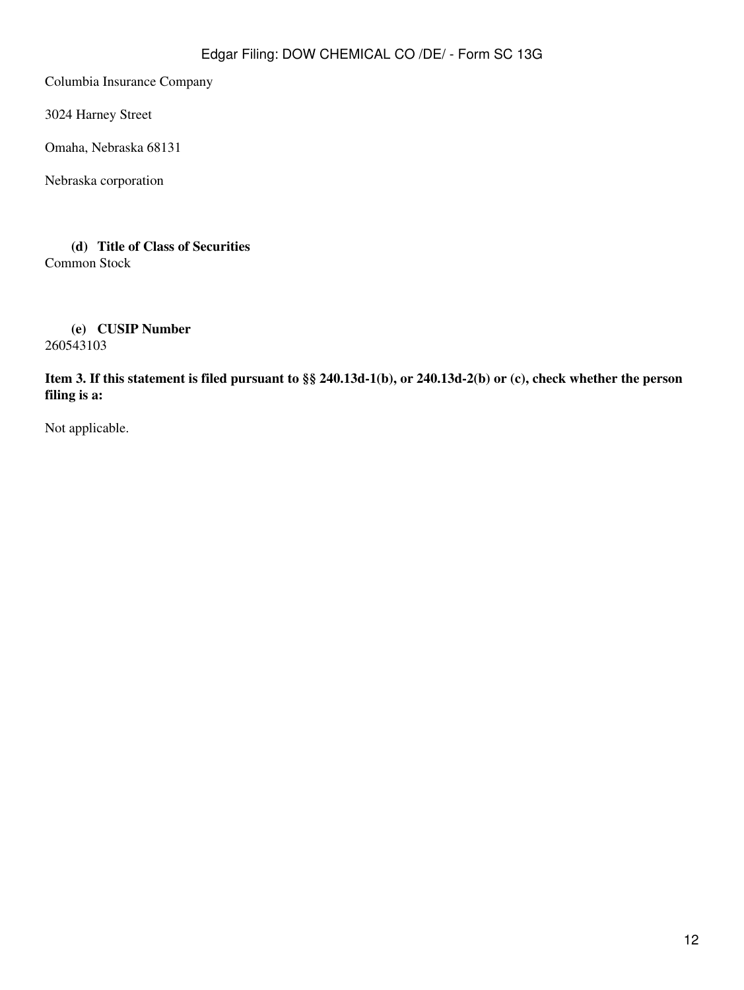Columbia Insurance Company

3024 Harney Street

Omaha, Nebraska 68131

Nebraska corporation

#### **(d) Title of Class of Securities** Common Stock

**(e) CUSIP Number** 260543103

# **Item 3. If this statement is filed pursuant to §§ 240.13d-1(b), or 240.13d-2(b) or (c), check whether the person filing is a:**

Not applicable.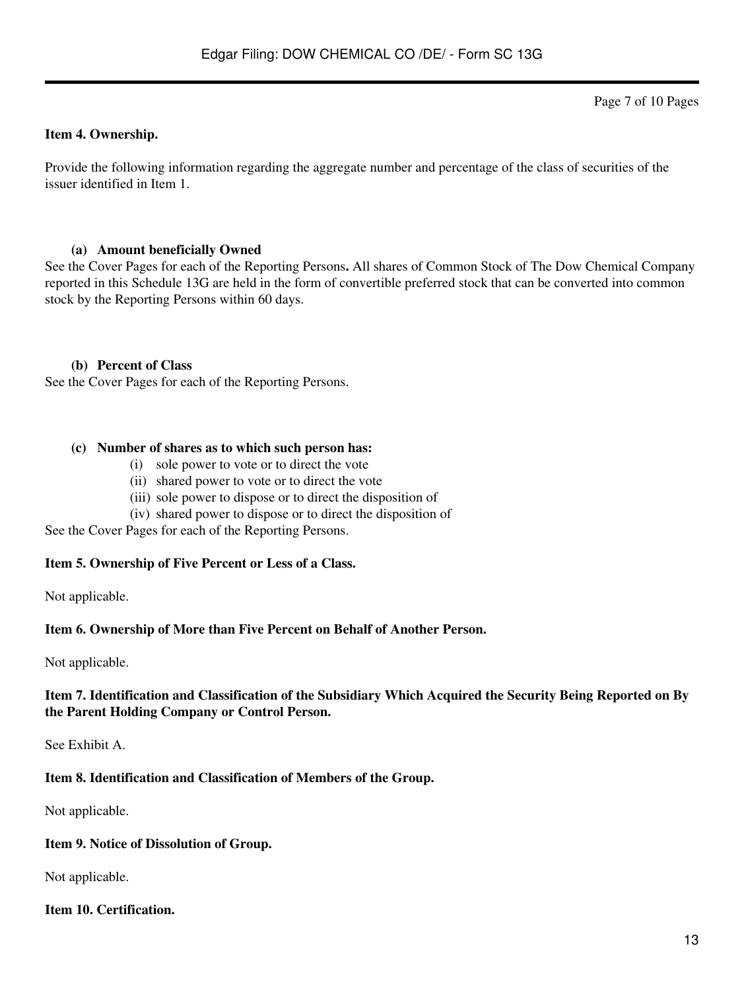Page 7 of 10 Pages

#### **Item 4. Ownership.**

Provide the following information regarding the aggregate number and percentage of the class of securities of the issuer identified in Item 1.

#### **(a) Amount beneficially Owned**

See the Cover Pages for each of the Reporting Persons**.** All shares of Common Stock of The Dow Chemical Company reported in this Schedule 13G are held in the form of convertible preferred stock that can be converted into common stock by the Reporting Persons within 60 days.

#### **(b) Percent of Class**

See the Cover Pages for each of the Reporting Persons.

#### **(c) Number of shares as to which such person has:**

- (i) sole power to vote or to direct the vote
- (ii) shared power to vote or to direct the vote
- (iii) sole power to dispose or to direct the disposition of
- (iv) shared power to dispose or to direct the disposition of

See the Cover Pages for each of the Reporting Persons.

#### **Item 5. Ownership of Five Percent or Less of a Class.**

Not applicable.

#### **Item 6. Ownership of More than Five Percent on Behalf of Another Person.**

Not applicable.

#### **Item 7. Identification and Classification of the Subsidiary Which Acquired the Security Being Reported on By the Parent Holding Company or Control Person.**

See Exhibit A.

# **Item 8. Identification and Classification of Members of the Group.**

Not applicable.

#### **Item 9. Notice of Dissolution of Group.**

Not applicable.

**Item 10. Certification.**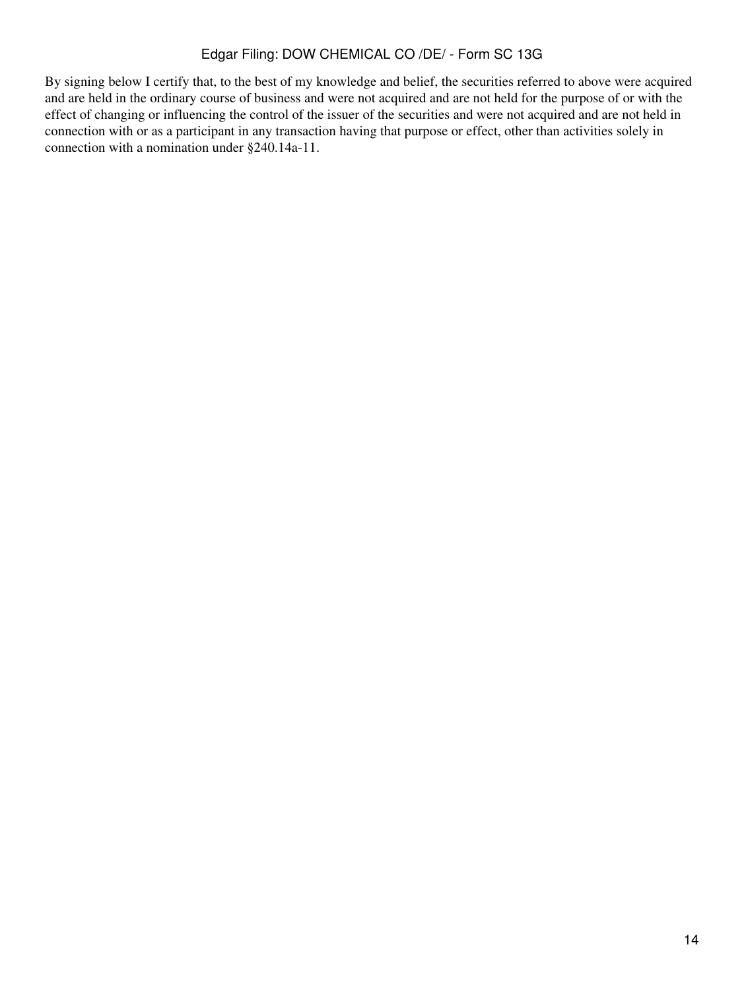By signing below I certify that, to the best of my knowledge and belief, the securities referred to above were acquired and are held in the ordinary course of business and were not acquired and are not held for the purpose of or with the effect of changing or influencing the control of the issuer of the securities and were not acquired and are not held in connection with or as a participant in any transaction having that purpose or effect, other than activities solely in connection with a nomination under §240.14a-11.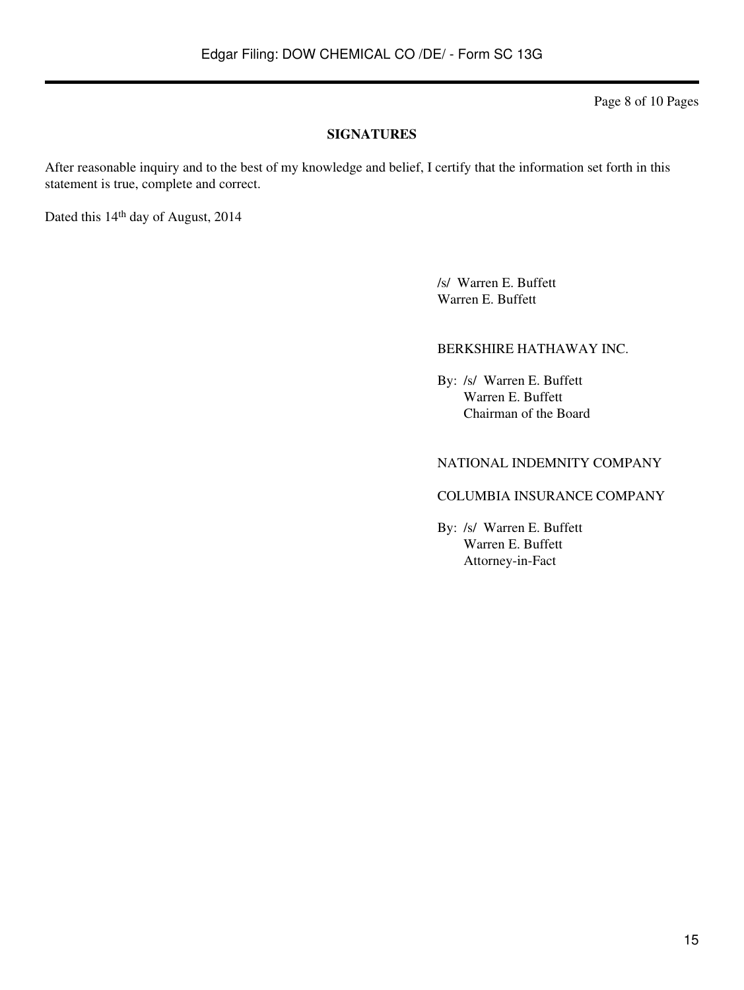Page 8 of 10 Pages

#### **SIGNATURES**

After reasonable inquiry and to the best of my knowledge and belief, I certify that the information set forth in this statement is true, complete and correct.

Dated this 14th day of August, 2014

/s/ Warren E. Buffett Warren E. Buffett

#### BERKSHIRE HATHAWAY INC.

By: /s/ Warren E. Buffett Warren E. Buffett Chairman of the Board

#### NATIONAL INDEMNITY COMPANY

#### COLUMBIA INSURANCE COMPANY

By: /s/ Warren E. Buffett Warren E. Buffett Attorney-in-Fact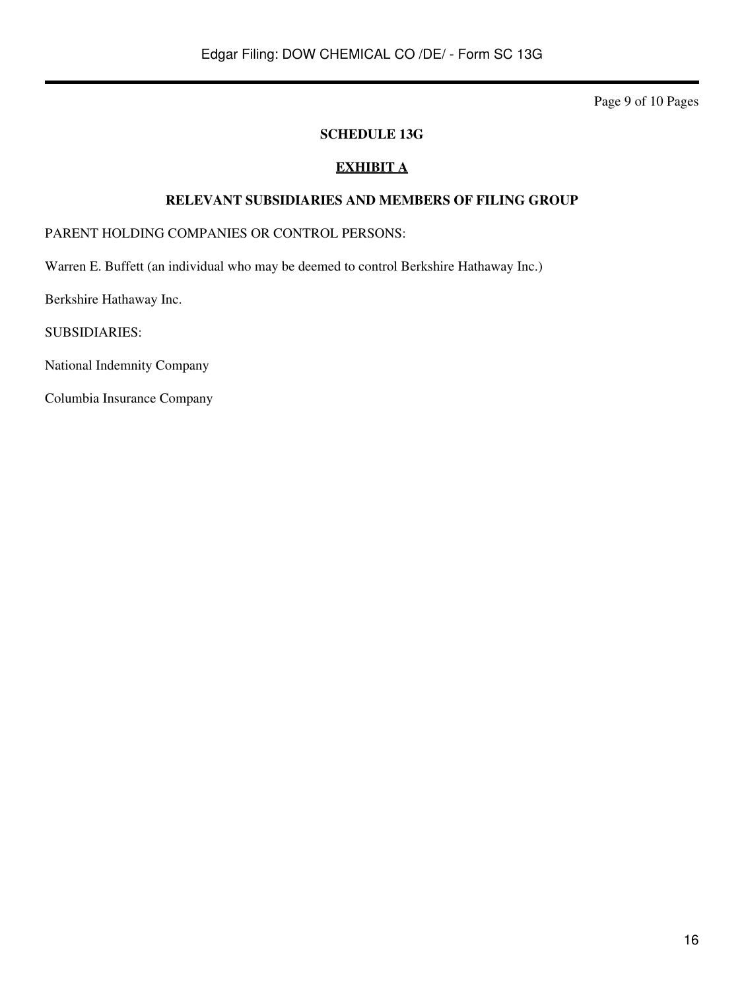Page 9 of 10 Pages

#### **SCHEDULE 13G**

# **EXHIBIT A**

#### **RELEVANT SUBSIDIARIES AND MEMBERS OF FILING GROUP**

PARENT HOLDING COMPANIES OR CONTROL PERSONS:

Warren E. Buffett (an individual who may be deemed to control Berkshire Hathaway Inc.)

Berkshire Hathaway Inc.

SUBSIDIARIES:

National Indemnity Company

Columbia Insurance Company